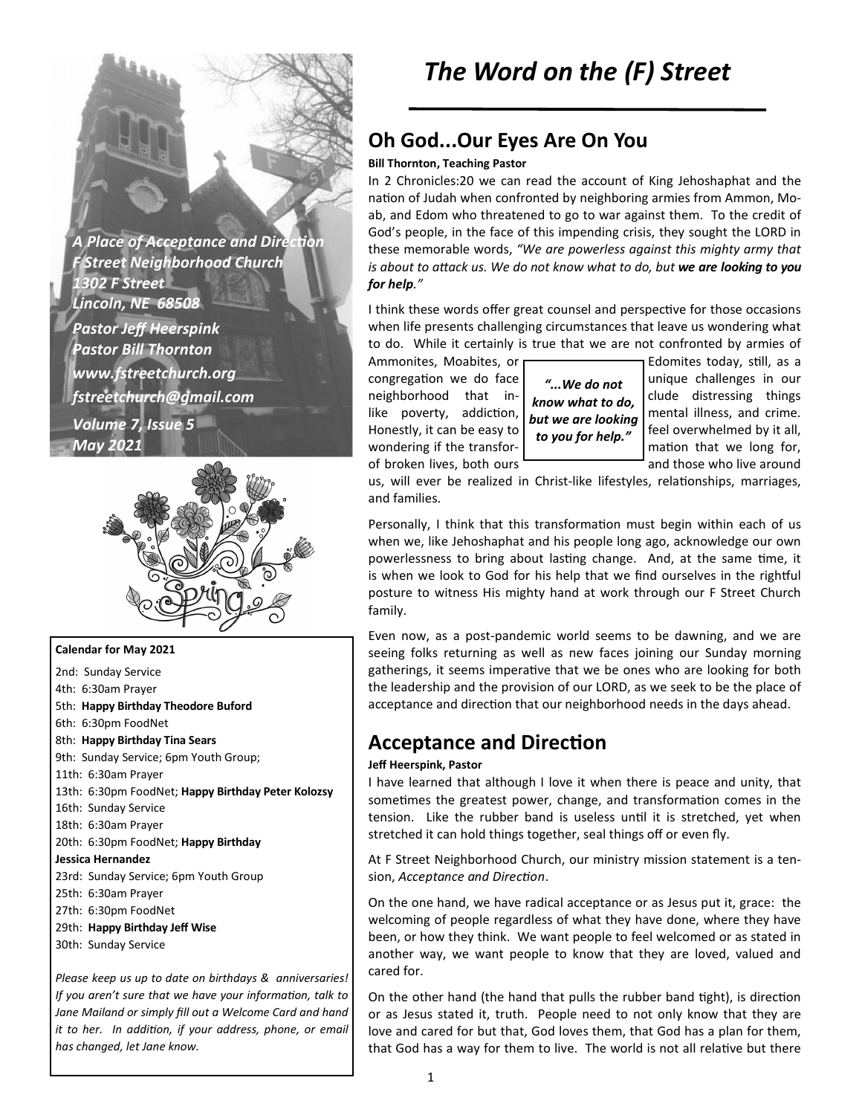**A Place of Acceptance and Direction** *F Street Neighborhood Church 1302 F Street Lincoln, NE 68508 Pastor Jeff Heerspink Pastor Bill Thornton www.fstreetchurch.org fstreetchurch@gmail.com Volume 7, Issue 5 May 2021* 



**Calendar for May 2021**  2nd: Sunday Service 4th: 6:30am Prayer 5th: **Happy Birthday Theodore Buford**  6th: 6:30pm FoodNet 8th: **Happy Birthday Tina Sears**  9th: Sunday Service; 6pm Youth Group; 11th: 6:30am Prayer 13th: 6:30pm FoodNet; **Happy Birthday Peter Kolozsy**  16th: Sunday Service 18th: 6:30am Prayer 20th: 6:30pm FoodNet; **Happy Birthday Jessica Hernandez**  23rd: Sunday Service; 6pm Youth Group 25th: 6:30am Prayer 27th: 6:30pm FoodNet 29th: **Happy Birthday Jeff Wise**  30th: Sunday Service

*Please keep us up to date on birthdays & anniversaries! If you aren't sure that we have your information, talk to Jane Mailand or simply fill out a Welcome Card and hand it to her. In addition, if your address, phone, or email has changed, let Jane know.* 

## **Oh God...Our Eyes Are On You**

#### **Bill Thornton, Teaching Pastor**

In 2 Chronicles:20 we can read the account of King Jehoshaphat and the nation of Judah when confronted by neighboring armies from Ammon, Moab, and Edom who threatened to go to war against them. To the credit of God's people, in the face of this impending crisis, they sought the LORD in these memorable words, *"We are powerless against this mighty army that is about to attack us. We do not know what to do, but we are looking to you for help."*

I think these words offer great counsel and perspective for those occasions when life presents challenging circumstances that leave us wondering what to do. While it certainly is true that we are not confronted by armies of

of broken lives, both ours **and those who live around** 

*"...We do not know what to do, but we are looking to you for help."*

Ammonites, Moabites, or  $\Box$ congregation we do face  $\begin{bmatrix} u & u \end{bmatrix}$   $\begin{bmatrix} 1 & u \end{bmatrix}$  unique challenges in our neighborhood that in-  $\begin{bmatrix} a & b \\ c & c \end{bmatrix}$  clude distressing things like poverty, addiction,  $\int_{0}^{x}$  mental illness, and crime. Honestly, it can be easy to  $\int_{-\infty}^{\infty}$  feel overwhelmed by it all, wondering if the transfor-  $\begin{bmatrix} 1 & 1 \\ 0 & 1 \end{bmatrix}$  mation that we long for,

us, will ever be realized in Christ-like lifestyles, relationships, marriages, and families.

Personally, I think that this transformation must begin within each of us when we, like Jehoshaphat and his people long ago, acknowledge our own powerlessness to bring about lasting change. And, at the same time, it is when we look to God for his help that we find ourselves in the rightful posture to witness His mighty hand at work through our F Street Church family.

Even now, as a post-pandemic world seems to be dawning, and we are seeing folks returning as well as new faces joining our Sunday morning gatherings, it seems imperative that we be ones who are looking for both the leadership and the provision of our LORD, as we seek to be the place of acceptance and direction that our neighborhood needs in the days ahead.

### **Acceptance and Direction**

#### **Jeff Heerspink, Pastor**

I have learned that although I love it when there is peace and unity, that sometimes the greatest power, change, and transformation comes in the tension. Like the rubber band is useless until it is stretched, yet when stretched it can hold things together, seal things off or even fly.

At F Street Neighborhood Church, our ministry mission statement is a tension, *Acceptance and Direction*.

On the one hand, we have radical acceptance or as Jesus put it, grace: the welcoming of people regardless of what they have done, where they have been, or how they think. We want people to feel welcomed or as stated in another way, we want people to know that they are loved, valued and cared for.

On the other hand (the hand that pulls the rubber band tight), is direction or as Jesus stated it, truth. People need to not only know that they are love and cared for but that, God loves them, that God has a plan for them, that God has a way for them to live. The world is not all relative but there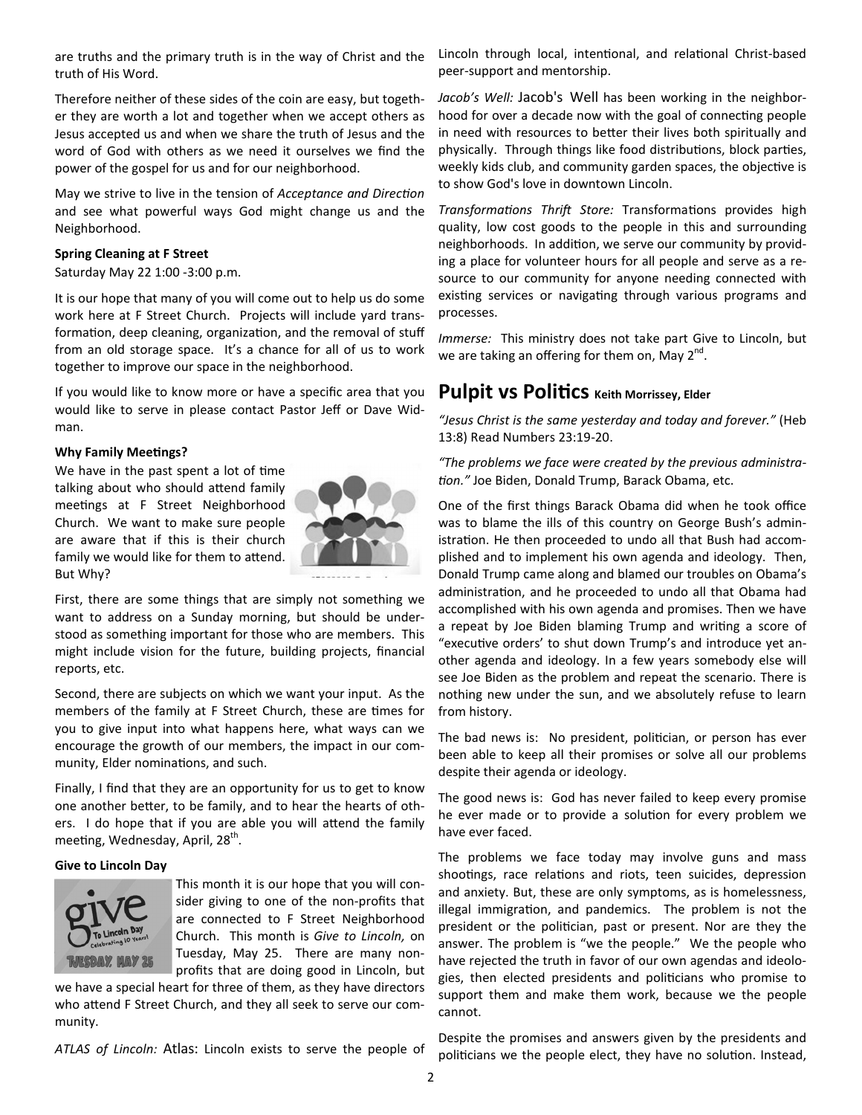are truths and the primary truth is in the way of Christ and the truth of His Word.

Therefore neither of these sides of the coin are easy, but together they are worth a lot and together when we accept others as Jesus accepted us and when we share the truth of Jesus and the word of God with others as we need it ourselves we find the power of the gospel for us and for our neighborhood.

May we strive to live in the tension of *Acceptance and Direction* and see what powerful ways God might change us and the Neighborhood.

#### **Spring Cleaning at F Street**

Saturday May 22 1:00 -3:00 p.m.

It is our hope that many of you will come out to help us do some work here at F Street Church. Projects will include yard transformation, deep cleaning, organization, and the removal of stuff from an old storage space. It's a chance for all of us to work together to improve our space in the neighborhood.

If you would like to know more or have a specific area that you would like to serve in please contact Pastor Jeff or Dave Widman.

#### **Why Family Meetings?**

We have in the past spent a lot of time talking about who should attend family meetings at F Street Neighborhood Church. We want to make sure people are aware that if this is their church family we would like for them to attend. But Why?



First, there are some things that are simply not something we want to address on a Sunday morning, but should be understood as something important for those who are members. This might include vision for the future, building projects, financial reports, etc.

Second, there are subjects on which we want your input. As the members of the family at F Street Church, these are times for you to give input into what happens here, what ways can we encourage the growth of our members, the impact in our community, Elder nominations, and such.

Finally, I find that they are an opportunity for us to get to know one another better, to be family, and to hear the hearts of others. I do hope that if you are able you will attend the family meeting, Wednesday, April, 28<sup>th</sup>.

#### **Give to Lincoln Day**



This month it is our hope that you will consider giving to one of the non-profits that are connected to F Street Neighborhood Church. This month is *Give to Lincoln,* on Tuesday, May 25. There are many nonprofits that are doing good in Lincoln, but

we have a special heart for three of them, as they have directors who attend F Street Church, and they all seek to serve our community.

*ATLAS of Lincoln:* Atlas: Lincoln exists to serve the people of

Lincoln through local, intentional, and relational Christ-based peer-support and mentorship.

*Jacob's Well:* Jacob's Well has been working in the neighborhood for over a decade now with the goal of connecting people in need with resources to better their lives both spiritually and physically. Through things like food distributions, block parties, weekly kids club, and community garden spaces, the objective is to show God's love in downtown Lincoln.

*Transformations Thrift Store: Transformations provides high* quality, low cost goods to the people in this and surrounding neighborhoods. In addition, we serve our community by providing a place for volunteer hours for all people and serve as a resource to our community for anyone needing connected with existing services or navigating through various programs and processes.

*Immerse:* This ministry does not take part Give to Lincoln, but we are taking an offering for them on, May 2<sup>nd</sup>.

### **Pulpit VS Politics** Keith Morrissey, Elder

*"Jesus Christ is the same yesterday and today and forever."* (Heb 13:8) Read Numbers 23:19-20.

*"The problems we face were created by the previous administra* tion." Joe Biden, Donald Trump, Barack Obama, etc.

One of the first things Barack Obama did when he took office was to blame the ills of this country on George Bush's administration. He then proceeded to undo all that Bush had accomplished and to implement his own agenda and ideology. Then, Donald Trump came along and blamed our troubles on Obama's administration, and he proceeded to undo all that Obama had accomplished with his own agenda and promises. Then we have a repeat by Joe Biden blaming Trump and writing a score of "executive orders' to shut down Trump's and introduce yet another agenda and ideology. In a few years somebody else will see Joe Biden as the problem and repeat the scenario. There is nothing new under the sun, and we absolutely refuse to learn from history.

The bad news is: No president, politician, or person has ever been able to keep all their promises or solve all our problems despite their agenda or ideology.

The good news is: God has never failed to keep every promise he ever made or to provide a solution for every problem we have ever faced.

The problems we face today may involve guns and mass shootings, race relations and riots, teen suicides, depression and anxiety. But, these are only symptoms, as is homelessness, illegal immigration, and pandemics. The problem is not the president or the politician, past or present. Nor are they the answer. The problem is "we the people." We the people who have rejected the truth in favor of our own agendas and ideologies, then elected presidents and politicians who promise to support them and make them work, because we the people cannot.

Despite the promises and answers given by the presidents and politicians we the people elect, they have no solution. Instead,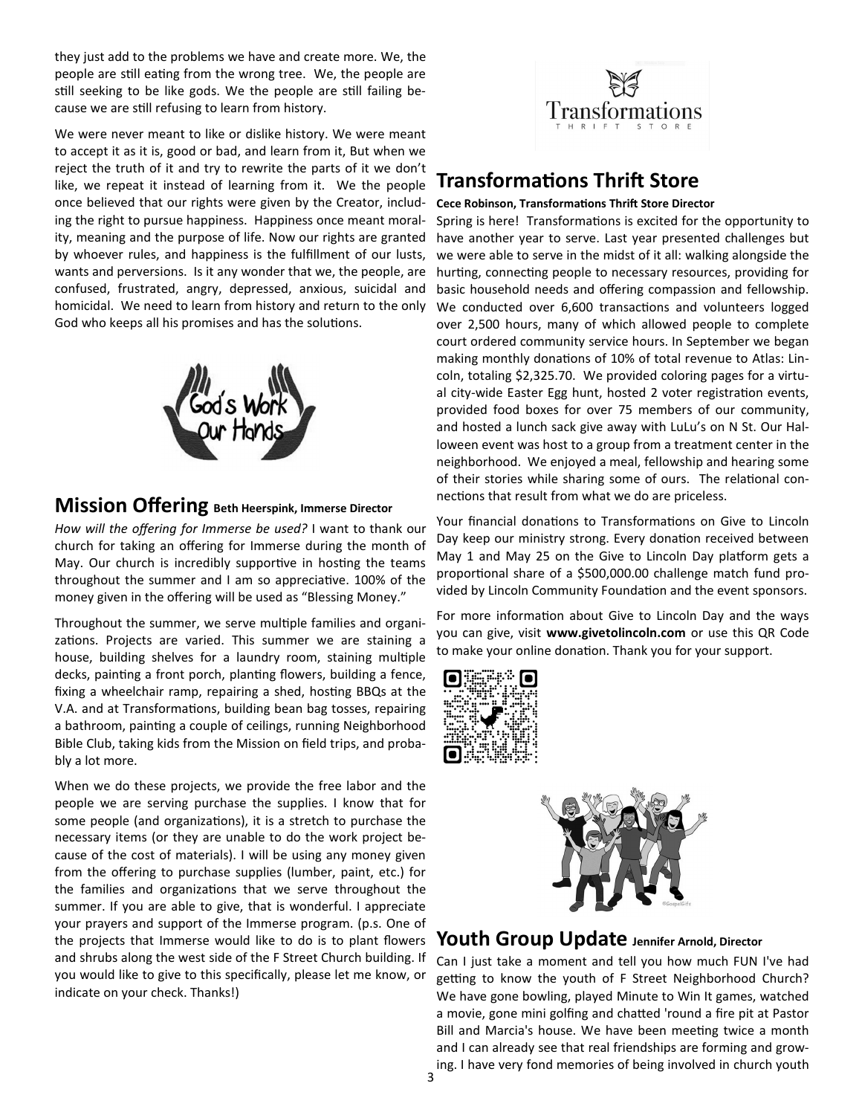they just add to the problems we have and create more. We, the people are still eating from the wrong tree. We, the people are still seeking to be like gods. We the people are still failing because we are still refusing to learn from history.

We were never meant to like or dislike history. We were meant to accept it as it is, good or bad, and learn from it, But when we reject the truth of it and try to rewrite the parts of it we don't like, we repeat it instead of learning from it. We the people once believed that our rights were given by the Creator, including the right to pursue happiness. Happiness once meant morality, meaning and the purpose of life. Now our rights are granted by whoever rules, and happiness is the fulfillment of our lusts, wants and perversions. Is it any wonder that we, the people, are confused, frustrated, angry, depressed, anxious, suicidal and homicidal. We need to learn from history and return to the only God who keeps all his promises and has the solutions.



### **Mission Offering Beth Heerspink, Immerse Director**

*How will the offering for Immerse be used?* I want to thank our church for taking an offering for Immerse during the month of May. Our church is incredibly supportive in hosting the teams throughout the summer and I am so appreciative.  $100\%$  of the money given in the offering will be used as "Blessing Money."

Throughout the summer, we serve multiple families and organizations. Projects are varied. This summer we are staining a house, building shelves for a laundry room, staining multiple decks, painting a front porch, planting flowers, building a fence, fixing a wheelchair ramp, repairing a shed, hosting BBQs at the V.A. and at Transformations, building bean bag tosses, repairing a bathroom, painting a couple of ceilings, running Neighborhood Bible Club, taking kids from the Mission on field trips, and probably a lot more.

When we do these projects, we provide the free labor and the people we are serving purchase the supplies. I know that for some people (and organizations), it is a stretch to purchase the necessary items (or they are unable to do the work project because of the cost of materials). I will be using any money given from the offering to purchase supplies (lumber, paint, etc.) for the families and organizations that we serve throughout the summer. If you are able to give, that is wonderful. I appreciate your prayers and support of the Immerse program. (p.s. One of the projects that Immerse would like to do is to plant flowers and shrubs along the west side of the F Street Church building. If you would like to give to this specifically, please let me know, or indicate on your check. Thanks!)



# **Transformations Thrift Store**

#### **Cece Robinson, Transformations Thrift Store Director**

Spring is here! Transformations is excited for the opportunity to have another year to serve. Last year presented challenges but we were able to serve in the midst of it all: walking alongside the hurting, connecting people to necessary resources, providing for basic household needs and offering compassion and fellowship. We conducted over 6,600 transactions and volunteers logged over 2,500 hours, many of which allowed people to complete court ordered community service hours. In September we began making monthly donations of 10% of total revenue to Atlas: Lincoln, totaling \$2,325.70. We provided coloring pages for a virtual city-wide Easter Egg hunt, hosted 2 voter registration events, provided food boxes for over 75 members of our community, and hosted a lunch sack give away with LuLu's on N St. Our Halloween event was host to a group from a treatment center in the neighborhood. We enjoyed a meal, fellowship and hearing some of their stories while sharing some of ours. The relational connections that result from what we do are priceless.

Your financial donations to Transformations on Give to Lincoln Day keep our ministry strong. Every donation received between May 1 and May 25 on the Give to Lincoln Day platform gets a proportional share of a \$500,000.00 challenge match fund provided by Lincoln Community Foundation and the event sponsors.

For more information about Give to Lincoln Day and the ways you can give, visit **www.givetolincoln.com** or use this QR Code to make your online donation. Thank you for your support.





### **Youth Group Update Jennifer Arnold, Director**

Can I just take a moment and tell you how much FUN I've had getting to know the youth of F Street Neighborhood Church? We have gone bowling, played Minute to Win It games, watched a movie, gone mini golfing and chatted 'round a fire pit at Pastor Bill and Marcia's house. We have been meeting twice a month and I can already see that real friendships are forming and growing. I have very fond memories of being involved in church youth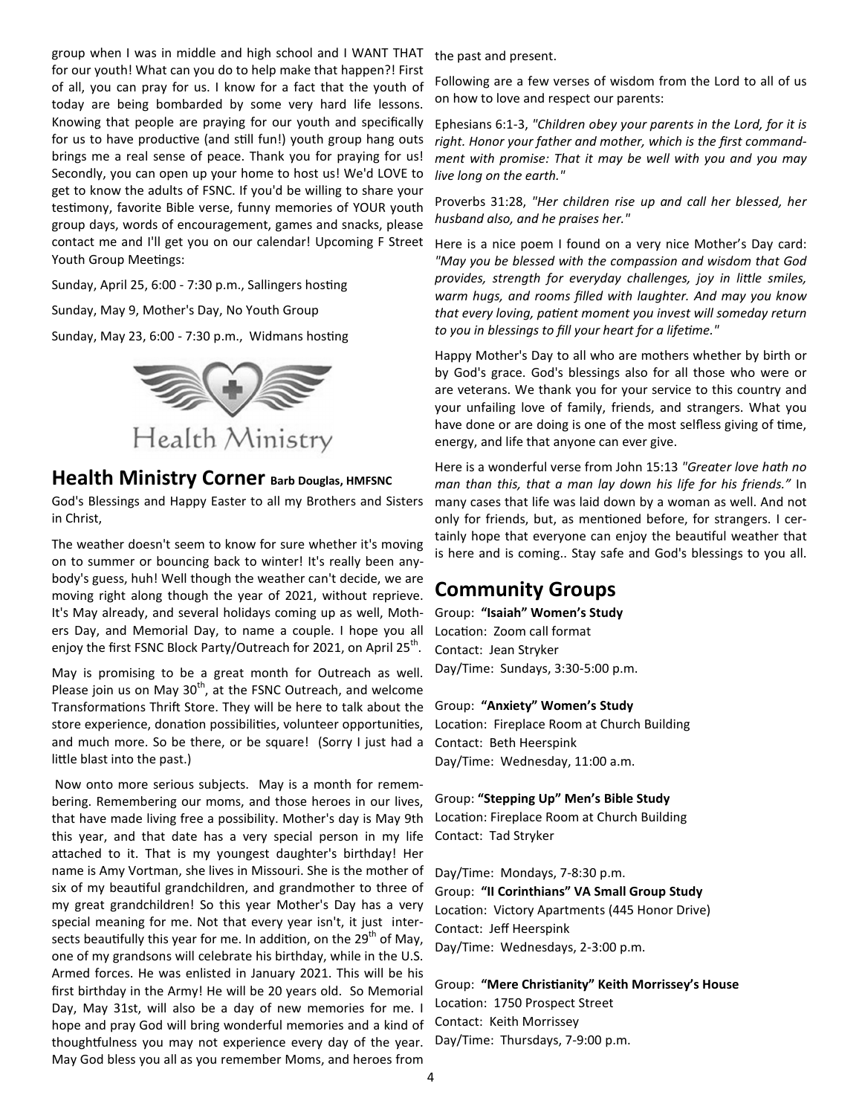group when I was in middle and high school and I WANT THAT for our youth! What can you do to help make that happen?! First of all, you can pray for us. I know for a fact that the youth of today are being bombarded by some very hard life lessons. Knowing that people are praying for our youth and specifically for us to have productive (and still fun!) youth group hang outs brings me a real sense of peace. Thank you for praying for us! Secondly, you can open up your home to host us! We'd LOVE to get to know the adults of FSNC. If you'd be willing to share your testimony, favorite Bible verse, funny memories of YOUR youth group days, words of encouragement, games and snacks, please contact me and I'll get you on our calendar! Upcoming F Street Youth Group Meetings:

Sunday, April 25, 6:00 - 7:30 p.m., Sallingers hosting

Sunday, May 9, Mother's Day, No Youth Group

Sunday, May 23, 6:00 - 7:30 p.m., Widmans hosting



### **Health Ministry Corner Barb Douglas, HMFSNC**

God's Blessings and Happy Easter to all my Brothers and Sisters in Christ,

The weather doesn't seem to know for sure whether it's moving on to summer or bouncing back to winter! It's really been anybody's guess, huh! Well though the weather can't decide, we are moving right along though the year of 2021, without reprieve. It's May already, and several holidays coming up as well, Mothers Day, and Memorial Day, to name a couple. I hope you all enjoy the first FSNC Block Party/Outreach for 2021, on April 25<sup>th</sup>.

May is promising to be a great month for Outreach as well. Please join us on May  $30<sup>th</sup>$ , at the FSNC Outreach, and welcome Transformations Thrift Store. They will be here to talk about the store experience, donation possibilities, volunteer opportunities, and much more. So be there, or be square! (Sorry I just had a little blast into the past.)

 Now onto more serious subjects. May is a month for remembering. Remembering our moms, and those heroes in our lives, that have made living free a possibility. Mother's day is May 9th this year, and that date has a very special person in my life attached to it. That is my youngest daughter's birthday! Her name is Amy Vortman, she lives in Missouri. She is the mother of six of my beautiful grandchildren, and grandmother to three of my great grandchildren! So this year Mother's Day has a very special meaning for me. Not that every year isn't, it just intersects beautifully this year for me. In addition, on the 29<sup>th</sup> of May, one of my grandsons will celebrate his birthday, while in the U.S. Armed forces. He was enlisted in January 2021. This will be his first birthday in the Army! He will be 20 years old. So Memorial Day, May 31st, will also be a day of new memories for me. I hope and pray God will bring wonderful memories and a kind of thoughtfulness you may not experience every day of the year. May God bless you all as you remember Moms, and heroes from

the past and present.

Following are a few verses of wisdom from the Lord to all of us on how to love and respect our parents:

Ephesians 6:1-3, *"Children obey your parents in the Lord, for it is right. Honor your father and mother, which is the first commandment with promise: That it may be well with you and you may live long on the earth."* 

Proverbs 31:28, *"Her children rise up and call her blessed, her husband also, and he praises her."* 

Here is a nice poem I found on a very nice Mother's Day card: *"May you be blessed with the compassion and wisdom that God*  provides, strength for everyday challenges, joy in little smiles, *warm hugs, and rooms filled with laughter. And may you know*  that every loving, patient moment you invest will someday return *to you in blessings to fill your heart for a lifeme."* 

Happy Mother's Day to all who are mothers whether by birth or by God's grace. God's blessings also for all those who were or are veterans. We thank you for your service to this country and your unfailing love of family, friends, and strangers. What you have done or are doing is one of the most selfless giving of time, energy, and life that anyone can ever give.

Here is a wonderful verse from John 15:13 *"Greater love hath no man than this, that a man lay down his life for his friends."* In many cases that life was laid down by a woman as well. And not only for friends, but, as mentioned before, for strangers. I certainly hope that everyone can enjoy the beautiful weather that is here and is coming.. Stay safe and God's blessings to you all.

### **Community Groups**

Group: **"Isaiah" Women's Study** Location: Zoom call format Contact: Jean Stryker Day/Time: Sundays, 3:30-5:00 p.m.

Group: **"Anxiety" Women's Study** Location: Fireplace Room at Church Building Contact: Beth Heerspink Day/Time: Wednesday, 11:00 a.m.

Group: **"Stepping Up" Men's Bible Study** Location: Fireplace Room at Church Building Contact: Tad Stryker

Day/Time: Mondays, 7-8:30 p.m. Group: **"II Corinthians" VA Small Group Study** Location: Victory Apartments (445 Honor Drive) Contact: Jeff Heerspink Day/Time: Wednesdays, 2-3:00 p.m.

Group: **"Mere Chris\*anity" Keith Morrissey's House** Location: 1750 Prospect Street Contact: Keith Morrissey Day/Time: Thursdays, 7-9:00 p.m.